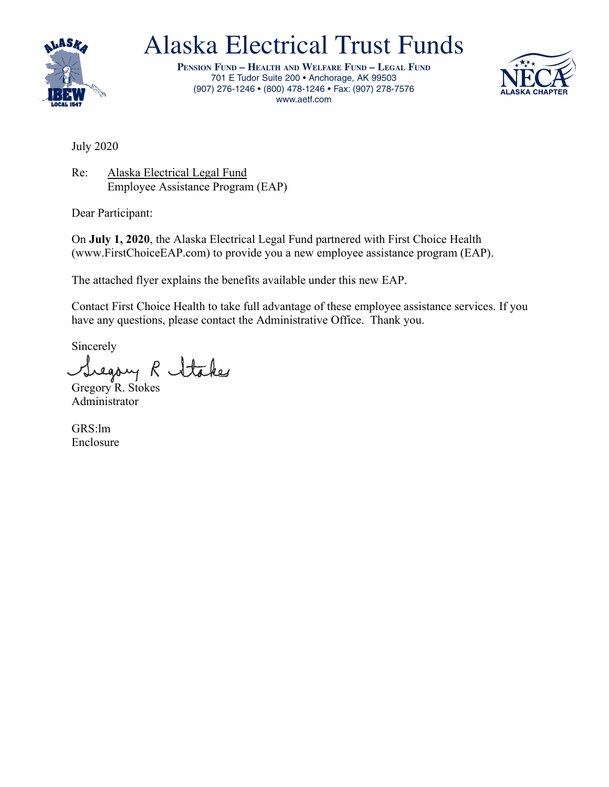

## Alaska Electrical Trust Funds

**Pension Fund – HealtH and WelFare Fund – legal Fund** 701 E Tudor Suite 200 • Anchorage, AK 99503 (907) 276-1246 • (800) 478-1246 • Fax: (907) 278-7576 www.aetf.com



July 2020

Re: Alaska Electrical Legal Fund Employee Assistance Program (EAP)

Dear Participant:

On **July 1, 2020**, the Alaska Electrical Legal Fund partnered with First Choice Health (www.FirstChoiceEAP.com) to provide you a new employee assistance program (EAP).

The attached flyer explains the benefits available under this new EAP.

Contact First Choice Health to take full advantage of these employee assistance services. If you have any questions, please contact the Administrative Office. Thank you.

Sincerely

Siegory R Stakes

Administrator

GRS:lm Enclosure